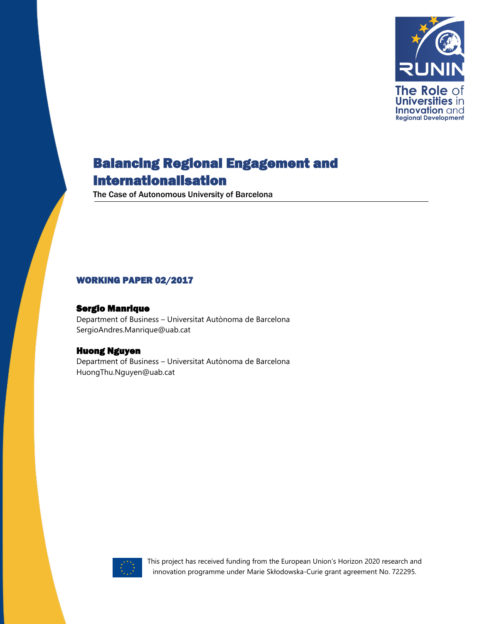

The Case of Autonomous University of Barcelona

#### WORKING PAPER 02/2017

#### Sergio Manrique

Department of Business – Universitat Autònoma de Barcelona SergioAndres.Manrique@uab.cat

#### Huong Nguyen

Department of Business – Universitat Autònoma de Barcelona HuongThu.Nguyen@uab.cat



This project has received funding from the European Union's Horizon 2020 research and innovation programme under Marie Skłodowska-Curie grant agreement No. 722295.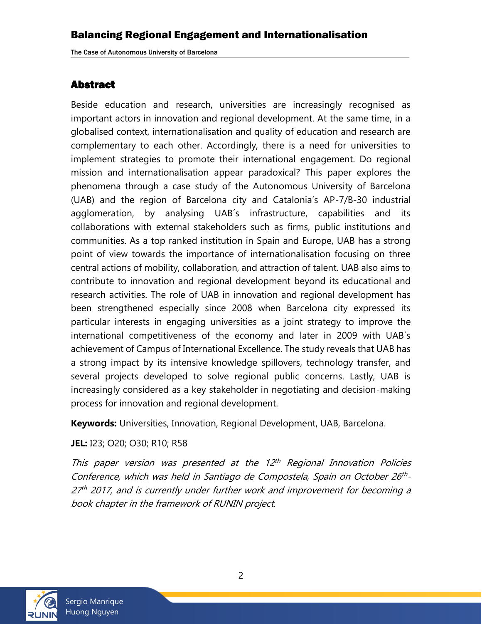### <span id="page-1-0"></span>Abstract

Beside education and research, universities are increasingly recognised as important actors in innovation and regional development. At the same time, in a globalised context, internationalisation and quality of education and research are complementary to each other. Accordingly, there is a need for universities to implement strategies to promote their international engagement. Do regional mission and internationalisation appear paradoxical? This paper explores the phenomena through a case study of the Autonomous University of Barcelona (UAB) and the region of Barcelona city and Catalonia's AP-7/B-30 industrial agglomeration, by analysing UAB´s infrastructure, capabilities and its collaborations with external stakeholders such as firms, public institutions and communities. As a top ranked institution in Spain and Europe, UAB has a strong point of view towards the importance of internationalisation focusing on three central actions of mobility, collaboration, and attraction of talent. UAB also aims to contribute to innovation and regional development beyond its educational and research activities. The role of UAB in innovation and regional development has been strengthened especially since 2008 when Barcelona city expressed its particular interests in engaging universities as a joint strategy to improve the international competitiveness of the economy and later in 2009 with UAB´s achievement of Campus of International Excellence. The study reveals that UAB has a strong impact by its intensive knowledge spillovers, technology transfer, and several projects developed to solve regional public concerns. Lastly, UAB is increasingly considered as a key stakeholder in negotiating and decision-making process for innovation and regional development.

**Keywords:** Universities, Innovation, Regional Development, UAB, Barcelona.

**JEL:** I23; O20; O30; R10; R58

This paper version was presented at the 12<sup>th</sup> Regional Innovation Policies Conference, which was held in Santiago de Compostela, Spain on October 26th-27<sup>th</sup> 2017, and is currently under further work and improvement for becoming a book chapter in the framework of RUNIN project.

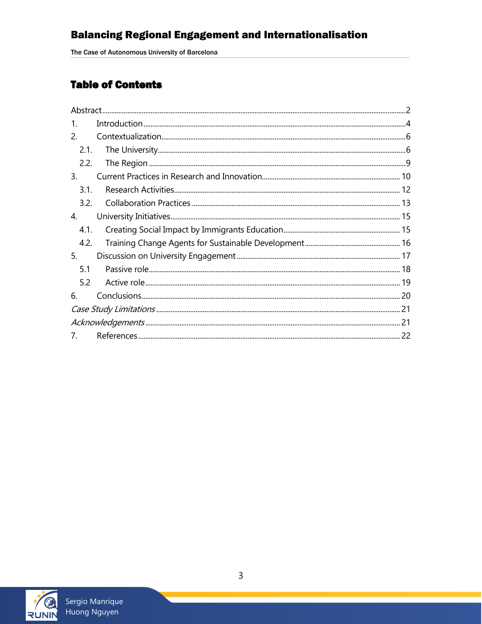The Case of Autonomous University of Barcelona

# **Table of Contents**

| 1.             |  |  |
|----------------|--|--|
| 2.             |  |  |
| 2.1.           |  |  |
| 2.2.           |  |  |
| 3.             |  |  |
| 3.1.           |  |  |
| 3.2.           |  |  |
| 4.             |  |  |
| 4.1.           |  |  |
| 4.2.           |  |  |
| 5.             |  |  |
| 5.1            |  |  |
| 5.2            |  |  |
| 6.             |  |  |
|                |  |  |
|                |  |  |
| 7 <sub>1</sub> |  |  |

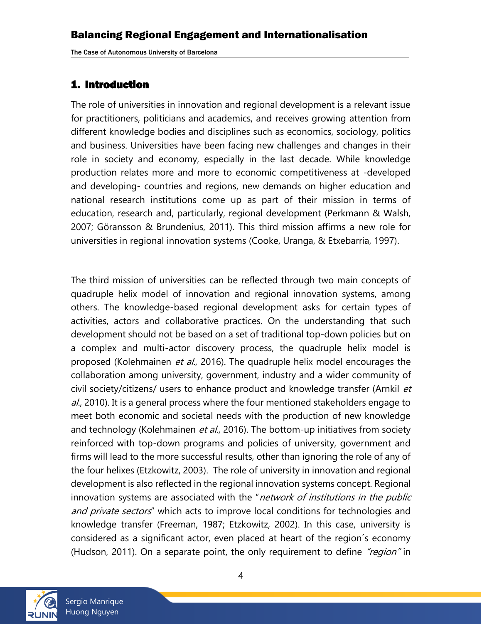### <span id="page-3-0"></span>1. Introduction

The role of universities in innovation and regional development is a relevant issue for practitioners, politicians and academics, and receives growing attention from different knowledge bodies and disciplines such as economics, sociology, politics and business. Universities have been facing new challenges and changes in their role in society and economy, especially in the last decade. While knowledge production relates more and more to economic competitiveness at -developed and developing- countries and regions, new demands on higher education and national research institutions come up as part of their mission in terms of education, research and, particularly, regional development (Perkmann & Walsh, 2007; Göransson & Brundenius, 2011). This third mission affirms a new role for universities in regional innovation systems (Cooke, Uranga, & Etxebarria, 1997).

The third mission of universities can be reflected through two main concepts of quadruple helix model of innovation and regional innovation systems, among others. The knowledge-based regional development asks for certain types of activities, actors and collaborative practices. On the understanding that such development should not be based on a set of traditional top-down policies but on a complex and multi-actor discovery process, the quadruple helix model is proposed (Kolehmainen et al., 2016). The quadruple helix model encourages the collaboration among university, government, industry and a wider community of civil society/citizens/ users to enhance product and knowledge transfer (Arnkil et al., 2010). It is a general process where the four mentioned stakeholders engage to meet both economic and societal needs with the production of new knowledge and technology (Kolehmainen et al., 2016). The bottom-up initiatives from society reinforced with top-down programs and policies of university, government and firms will lead to the more successful results, other than ignoring the role of any of the four helixes (Etzkowitz, 2003). The role of university in innovation and regional development is also reflected in the regional innovation systems concept. Regional innovation systems are associated with the "network of institutions in the public and private sectors" which acts to improve local conditions for technologies and knowledge transfer (Freeman, 1987; Etzkowitz, 2002). In this case, university is considered as a significant actor, even placed at heart of the region´s economy (Hudson, 2011). On a separate point, the only requirement to define "region" in

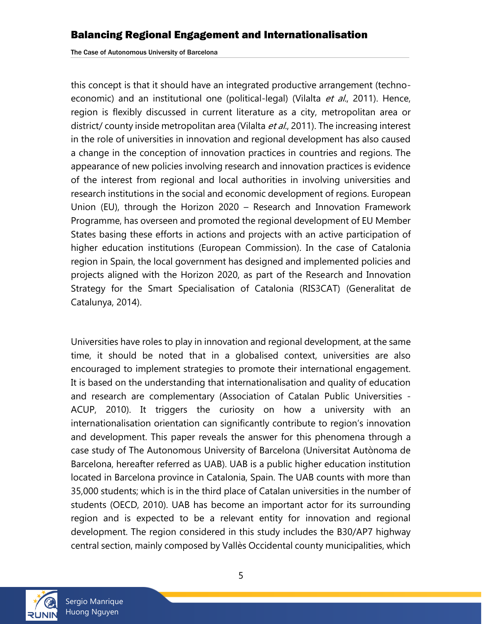this concept is that it should have an integrated productive arrangement (technoeconomic) and an institutional one (political-legal) (Vilalta et al., 2011). Hence, region is flexibly discussed in current literature as a city, metropolitan area or district/ county inside metropolitan area (Vilalta et al., 2011). The increasing interest in the role of universities in innovation and regional development has also caused a change in the conception of innovation practices in countries and regions. The appearance of new policies involving research and innovation practices is evidence of the interest from regional and local authorities in involving universities and research institutions in the social and economic development of regions. European Union (EU), through the Horizon 2020 – Research and Innovation Framework Programme, has overseen and promoted the regional development of EU Member States basing these efforts in actions and projects with an active participation of higher education institutions (European Commission). In the case of Catalonia region in Spain, the local government has designed and implemented policies and projects aligned with the Horizon 2020, as part of the Research and Innovation Strategy for the Smart Specialisation of Catalonia (RIS3CAT) (Generalitat de Catalunya, 2014).

Universities have roles to play in innovation and regional development, at the same time, it should be noted that in a globalised context, universities are also encouraged to implement strategies to promote their international engagement. It is based on the understanding that internationalisation and quality of education and research are complementary (Association of Catalan Public Universities - ACUP, 2010). It triggers the curiosity on how a university with an internationalisation orientation can significantly contribute to region's innovation and development. This paper reveals the answer for this phenomena through a case study of The Autonomous University of Barcelona (Universitat Autònoma de Barcelona, hereafter referred as UAB). UAB is a public higher education institution located in Barcelona province in Catalonia, Spain. The UAB counts with more than 35,000 students; which is in the third place of Catalan universities in the number of students (OECD, 2010). UAB has become an important actor for its surrounding region and is expected to be a relevant entity for innovation and regional development. The region considered in this study includes the B30/AP7 highway central section, mainly composed by Vallès Occidental county municipalities, which

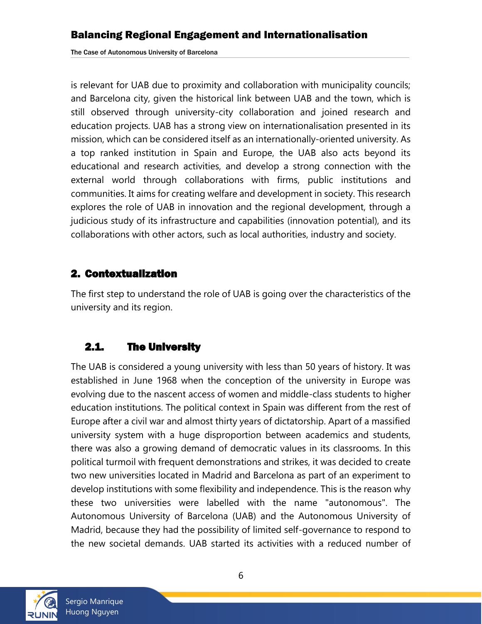is relevant for UAB due to proximity and collaboration with municipality councils; and Barcelona city, given the historical link between UAB and the town, which is still observed through university-city collaboration and joined research and education projects. UAB has a strong view on internationalisation presented in its mission, which can be considered itself as an internationally-oriented university. As a top ranked institution in Spain and Europe, the UAB also acts beyond its educational and research activities, and develop a strong connection with the external world through collaborations with firms, public institutions and communities. It aims for creating welfare and development in society. This research explores the role of UAB in innovation and the regional development, through a judicious study of its infrastructure and capabilities (innovation potential), and its collaborations with other actors, such as local authorities, industry and society.

### <span id="page-5-0"></span>2. Contextualization

The first step to understand the role of UAB is going over the characteristics of the university and its region.

# <span id="page-5-1"></span>2.1. The University

The UAB is considered a young university with less than 50 years of history. It was established in June 1968 when the conception of the university in Europe was evolving due to the nascent access of women and middle-class students to higher education institutions. The political context in Spain was different from the rest of Europe after a civil war and almost thirty years of dictatorship. Apart of a massified university system with a huge disproportion between academics and students, there was also a growing demand of democratic values in its classrooms. In this political turmoil with frequent demonstrations and strikes, it was decided to create two new universities located in Madrid and Barcelona as part of an experiment to develop institutions with some flexibility and independence. This is the reason why these two universities were labelled with the name "autonomous". The Autonomous University of Barcelona (UAB) and the Autonomous University of Madrid, because they had the possibility of limited self-governance to respond to the new societal demands. UAB started its activities with a reduced number of

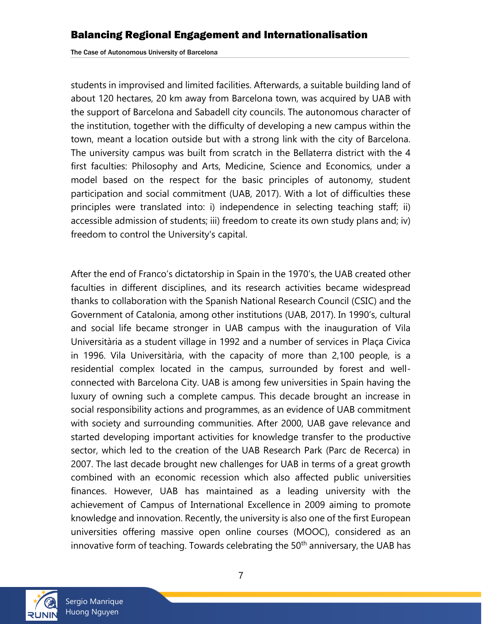students in improvised and limited facilities. Afterwards, a suitable building land of about 120 hectares, 20 km away from Barcelona town, was acquired by UAB with the support of Barcelona and Sabadell city councils. The autonomous character of the institution, together with the difficulty of developing a new campus within the town, meant a location outside but with a strong link with the city of Barcelona. The university campus was built from scratch in the Bellaterra district with the 4 first faculties: Philosophy and Arts, Medicine, Science and Economics, under a model based on the respect for the basic principles of autonomy, student participation and social commitment (UAB, 2017). With a lot of difficulties these principles were translated into: i) independence in selecting teaching staff; ii) accessible admission of students; iii) freedom to create its own study plans and; iv) freedom to control the University's capital.

After the end of Franco's dictatorship in Spain in the 1970's, the UAB created other faculties in different disciplines, and its research activities became widespread thanks to collaboration with the Spanish National Research Council (CSIC) and the Government of Catalonia, among other institutions (UAB, 2017). In 1990's, cultural and social life became stronger in UAB campus with the inauguration of Vila Universitària as a student village in 1992 and a number of services in Plaça Civica in 1996. Vila Universitària, with the capacity of more than 2,100 people, is a residential complex located in the campus, surrounded by forest and wellconnected with Barcelona City. UAB is among few universities in Spain having the luxury of owning such a complete campus. This decade brought an increase in social responsibility actions and programmes, as an evidence of UAB commitment with society and surrounding communities. After 2000, UAB gave relevance and started developing important activities for knowledge transfer to the productive sector, which led to the creation of the UAB Research Park (Parc de Recerca) in 2007. The last decade brought new challenges for UAB in terms of a great growth combined with an economic recession which also affected public universities finances. However, UAB has maintained as a leading university with the achievement of Campus of International Excellence in 2009 aiming to promote knowledge and innovation. Recently, the university is also one of the first European universities offering massive open online courses (MOOC), considered as an innovative form of teaching. Towards celebrating the 50<sup>th</sup> anniversary, the UAB has

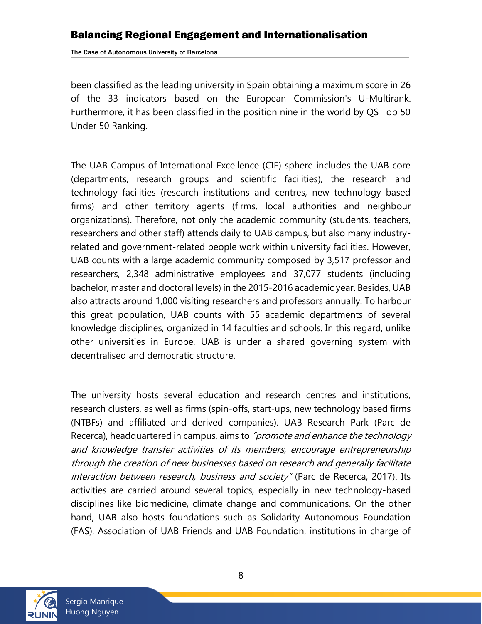The Case of Autonomous University of Barcelona

been classified as the leading university in Spain obtaining a maximum score in 26 of the 33 indicators based on the European Commission's U-Multirank. Furthermore, it has been classified in the position nine in the world by QS Top 50 Under 50 Ranking.

The UAB Campus of International Excellence (CIE) sphere includes the UAB core (departments, research groups and scientific facilities), the research and technology facilities (research institutions and centres, new technology based firms) and other territory agents (firms, local authorities and neighbour organizations). Therefore, not only the academic community (students, teachers, researchers and other staff) attends daily to UAB campus, but also many industryrelated and government-related people work within university facilities. However, UAB counts with a large academic community composed by 3,517 professor and researchers, 2,348 administrative employees and 37,077 students (including bachelor, master and doctoral levels) in the 2015-2016 academic year. Besides, UAB also attracts around 1,000 visiting researchers and professors annually. To harbour this great population, UAB counts with 55 academic departments of several knowledge disciplines, organized in 14 faculties and schools. In this regard, unlike other universities in Europe, UAB is under a shared governing system with decentralised and democratic structure.

The university hosts several education and research centres and institutions, research clusters, as well as firms (spin-offs, start-ups, new technology based firms (NTBFs) and affiliated and derived companies). UAB Research Park (Parc de Recerca), headquartered in campus, aims to *"promote and enhance the technology* and knowledge transfer activities of its members, encourage entrepreneurship through the creation of new businesses based on research and generally facilitate interaction between research, business and society" (Parc de Recerca, 2017). Its activities are carried around several topics, especially in new technology-based disciplines like biomedicine, climate change and communications. On the other hand, UAB also hosts foundations such as Solidarity Autonomous Foundation (FAS), Association of UAB Friends and UAB Foundation, institutions in charge of

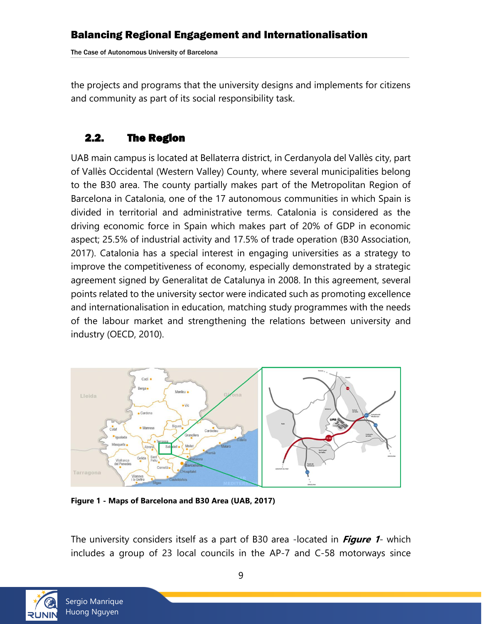the projects and programs that the university designs and implements for citizens and community as part of its social responsibility task.

# <span id="page-8-0"></span>2.2. The Region

UAB main campus is located at Bellaterra district, in Cerdanyola del Vallès city, part of Vallès Occidental (Western Valley) County, where several municipalities belong to the B30 area. The county partially makes part of the Metropolitan Region of Barcelona in Catalonia, one of the 17 autonomous communities in which Spain is divided in territorial and administrative terms. Catalonia is considered as the driving economic force in Spain which makes part of 20% of GDP in economic aspect; 25.5% of industrial activity and 17.5% of trade operation (B30 Association, 2017). Catalonia has a special interest in engaging universities as a strategy to improve the competitiveness of economy, especially demonstrated by a strategic agreement signed by Generalitat de Catalunya in 2008. In this agreement, several points related to the university sector were indicated such as promoting excellence and internationalisation in education, matching study programmes with the needs of the labour market and strengthening the relations between university and industry (OECD, 2010).



**Figure 1 - Maps of Barcelona and B30 Area (UAB, 2017)**

The university considers itself as a part of B30 area -located in **Figure 1**- which includes a group of 23 local councils in the AP-7 and C-58 motorways since

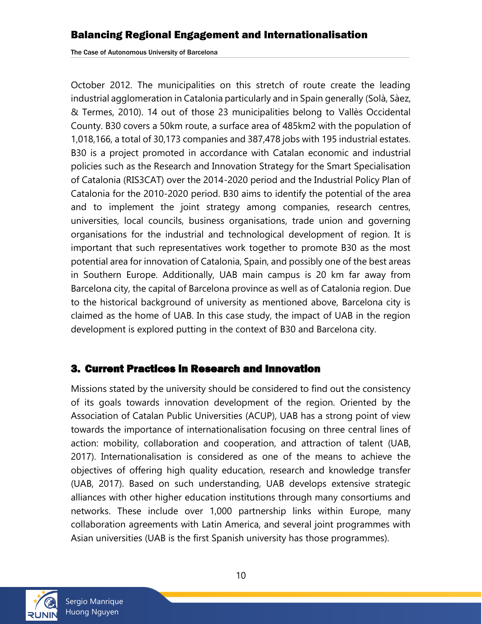The Case of Autonomous University of Barcelona

October 2012. The municipalities on this stretch of route create the leading industrial agglomeration in Catalonia particularly and in Spain generally (Solà, Sàez, & Termes, 2010). 14 out of those 23 municipalities belong to Vallès Occidental County. B30 covers a 50km route, a surface area of 485km2 with the population of 1,018,166, a total of 30,173 companies and 387,478 jobs with 195 industrial estates. B30 is a project promoted in accordance with Catalan economic and industrial policies such as the Research and Innovation Strategy for the Smart Specialisation of Catalonia (RIS3CAT) over the 2014-2020 period and the Industrial Policy Plan of Catalonia for the 2010-2020 period. B30 aims to identify the potential of the area and to implement the joint strategy among companies, research centres, universities, local councils, business organisations, trade union and governing organisations for the industrial and technological development of region. It is important that such representatives work together to promote B30 as the most potential area for innovation of Catalonia, Spain, and possibly one of the best areas in Southern Europe. Additionally, UAB main campus is 20 km far away from Barcelona city, the capital of Barcelona province as well as of Catalonia region. Due to the historical background of university as mentioned above, Barcelona city is claimed as the home of UAB. In this case study, the impact of UAB in the region development is explored putting in the context of B30 and Barcelona city.

#### <span id="page-9-0"></span>3. Current Practices in Research and Innovation

Missions stated by the university should be considered to find out the consistency of its goals towards innovation development of the region. Oriented by the Association of Catalan Public Universities (ACUP), UAB has a strong point of view towards the importance of internationalisation focusing on three central lines of action: mobility, collaboration and cooperation, and attraction of talent (UAB, 2017). Internationalisation is considered as one of the means to achieve the objectives of offering high quality education, research and knowledge transfer (UAB, 2017). Based on such understanding, UAB develops extensive strategic alliances with other higher education institutions through many consortiums and networks. These include over 1,000 partnership links within Europe, many collaboration agreements with Latin America, and several joint programmes with Asian universities (UAB is the first Spanish university has those programmes).

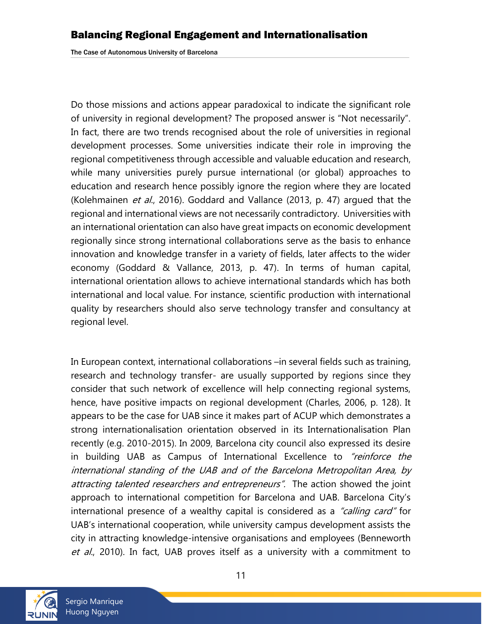Do those missions and actions appear paradoxical to indicate the significant role of university in regional development? The proposed answer is "Not necessarily". In fact, there are two trends recognised about the role of universities in regional development processes. Some universities indicate their role in improving the regional competitiveness through accessible and valuable education and research, while many universities purely pursue international (or global) approaches to education and research hence possibly ignore the region where they are located (Kolehmainen et al., 2016). Goddard and Vallance (2013, p. 47) arqued that the regional and international views are not necessarily contradictory. Universities with an international orientation can also have great impacts on economic development regionally since strong international collaborations serve as the basis to enhance innovation and knowledge transfer in a variety of fields, later affects to the wider economy (Goddard & Vallance, 2013, p. 47). In terms of human capital, international orientation allows to achieve international standards which has both international and local value. For instance, scientific production with international quality by researchers should also serve technology transfer and consultancy at regional level.

In European context, international collaborations –in several fields such as training, research and technology transfer- are usually supported by regions since they consider that such network of excellence will help connecting regional systems, hence, have positive impacts on regional development (Charles, 2006, p. 128). It appears to be the case for UAB since it makes part of ACUP which demonstrates a strong internationalisation orientation observed in its Internationalisation Plan recently (e.g. 2010-2015). In 2009, Barcelona city council also expressed its desire in building UAB as Campus of International Excellence to *"reinforce the* international standing of the UAB and of the Barcelona Metropolitan Area, by attracting talented researchers and entrepreneurs". The action showed the joint approach to international competition for Barcelona and UAB. Barcelona City's international presence of a wealthy capital is considered as a "calling card" for UAB's international cooperation, while university campus development assists the city in attracting knowledge-intensive organisations and employees (Benneworth et al., 2010). In fact, UAB proves itself as a university with a commitment to

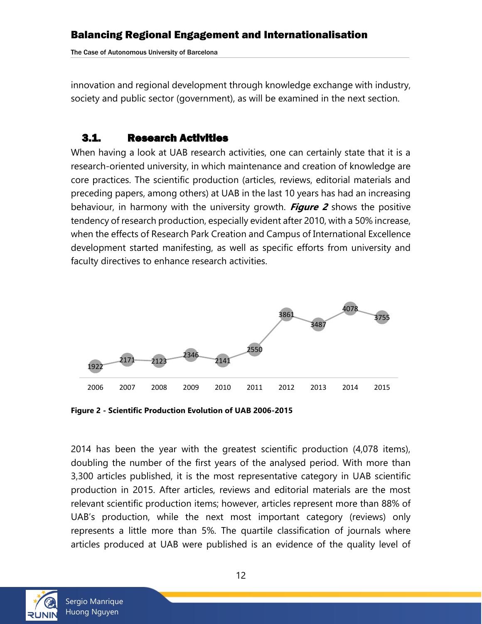The Case of Autonomous University of Barcelona

innovation and regional development through knowledge exchange with industry, society and public sector (government), as will be examined in the next section.

### <span id="page-11-0"></span>3.1. Research Activities

When having a look at UAB research activities, one can certainly state that it is a research-oriented university, in which maintenance and creation of knowledge are core practices. The scientific production (articles, reviews, editorial materials and preceding papers, among others) at UAB in the last 10 years has had an increasing behaviour, in harmony with the university growth. **Figure 2** shows the positive tendency of research production, especially evident after 2010, with a 50% increase, when the effects of Research Park Creation and Campus of International Excellence development started manifesting, as well as specific efforts from university and faculty directives to enhance research activities.



**Figure 2 - Scientific Production Evolution of UAB 2006-2015**

2014 has been the year with the greatest scientific production (4,078 items), doubling the number of the first years of the analysed period. With more than 3,300 articles published, it is the most representative category in UAB scientific production in 2015. After articles, reviews and editorial materials are the most relevant scientific production items; however, articles represent more than 88% of UAB's production, while the next most important category (reviews) only represents a little more than 5%. The quartile classification of journals where articles produced at UAB were published is an evidence of the quality level of

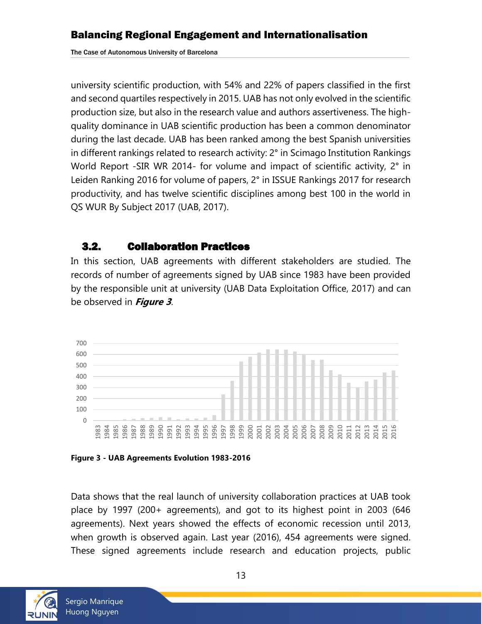university scientific production, with 54% and 22% of papers classified in the first and second quartiles respectively in 2015. UAB has not only evolved in the scientific production size, but also in the research value and authors assertiveness. The highquality dominance in UAB scientific production has been a common denominator during the last decade. UAB has been ranked among the best Spanish universities in different rankings related to research activity: 2° in Scimago Institution Rankings World Report -SIR WR 2014- for volume and impact of scientific activity, 2° in Leiden Ranking 2016 for volume of papers, 2° in ISSUE Rankings 2017 for research productivity, and has twelve scientific disciplines among best 100 in the world in QS WUR By Subject 2017 (UAB, 2017).

### <span id="page-12-0"></span>3.2. Collaboration Practices

In this section, UAB agreements with different stakeholders are studied. The records of number of agreements signed by UAB since 1983 have been provided by the responsible unit at university (UAB Data Exploitation Office, 2017) and can be observed in **Figure 3**.





Data shows that the real launch of university collaboration practices at UAB took place by 1997 (200+ agreements), and got to its highest point in 2003 (646 agreements). Next years showed the effects of economic recession until 2013, when growth is observed again. Last year (2016), 454 agreements were signed. These signed agreements include research and education projects, public

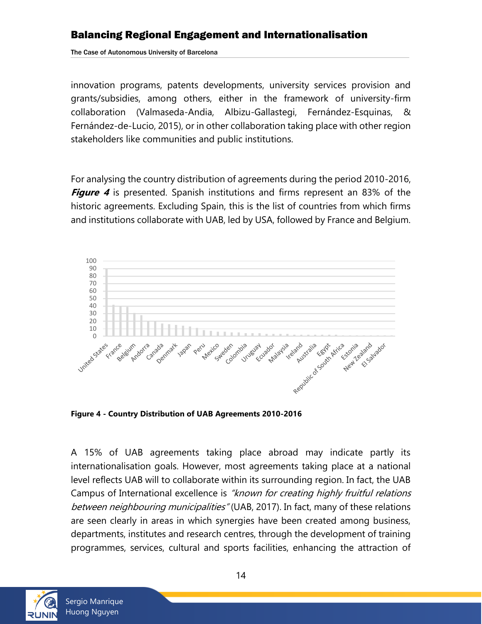The Case of Autonomous University of Barcelona

innovation programs, patents developments, university services provision and grants/subsidies, among others, either in the framework of university-firm collaboration (Valmaseda-Andia, Albizu-Gallastegi, Fernández-Esquinas, & Fernández-de-Lucio, 2015), or in other collaboration taking place with other region stakeholders like communities and public institutions.

For analysing the country distribution of agreements during the period 2010-2016, **Figure 4** is presented. Spanish institutions and firms represent an 83% of the historic agreements. Excluding Spain, this is the list of countries from which firms and institutions collaborate with UAB, led by USA, followed by France and Belgium.



**Figure 4 - Country Distribution of UAB Agreements 2010-2016**

A 15% of UAB agreements taking place abroad may indicate partly its internationalisation goals. However, most agreements taking place at a national level reflects UAB will to collaborate within its surrounding region. In fact, the UAB Campus of International excellence is "known for creating highly fruitful relations between neighbouring municipalities" (UAB, 2017). In fact, many of these relations are seen clearly in areas in which synergies have been created among business, departments, institutes and research centres, through the development of training programmes, services, cultural and sports facilities, enhancing the attraction of

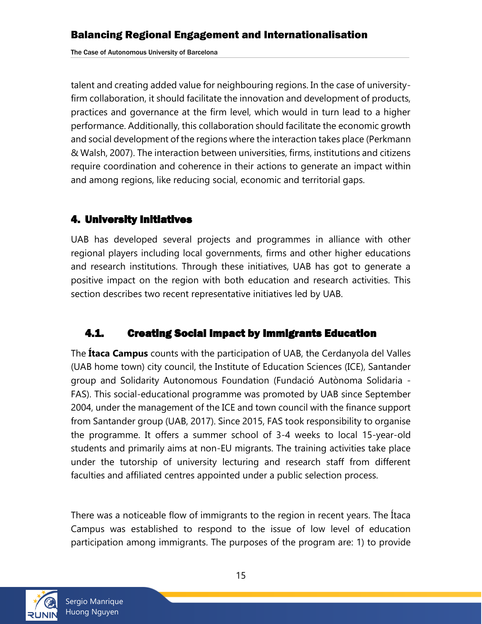talent and creating added value for neighbouring regions. In the case of universityfirm collaboration, it should facilitate the innovation and development of products, practices and governance at the firm level, which would in turn lead to a higher performance. Additionally, this collaboration should facilitate the economic growth and social development of the regions where the interaction takes place (Perkmann & Walsh, 2007). The interaction between universities, firms, institutions and citizens require coordination and coherence in their actions to generate an impact within and among regions, like reducing social, economic and territorial gaps.

### <span id="page-14-0"></span>4. University Initiatives

UAB has developed several projects and programmes in alliance with other regional players including local governments, firms and other higher educations and research institutions. Through these initiatives, UAB has got to generate a positive impact on the region with both education and research activities. This section describes two recent representative initiatives led by UAB.

# <span id="page-14-1"></span>4.1. Creating Social Impact by Immigrants Education

The **Ítaca Campus** counts with the participation of UAB, the Cerdanyola del Valles (UAB home town) city council, the Institute of Education Sciences (ICE), Santander group and Solidarity Autonomous Foundation (Fundació Autònoma Solidaria - FAS). This social-educational programme was promoted by UAB since September 2004, under the management of the ICE and town council with the finance support from Santander group (UAB, 2017). Since 2015, FAS took responsibility to organise the programme. It offers a summer school of 3-4 weeks to local 15-year-old students and primarily aims at non-EU migrants. The training activities take place under the tutorship of university lecturing and research staff from different faculties and affiliated centres appointed under a public selection process.

There was a noticeable flow of immigrants to the region in recent years. The Ítaca Campus was established to respond to the issue of low level of education participation among immigrants. The purposes of the program are: 1) to provide

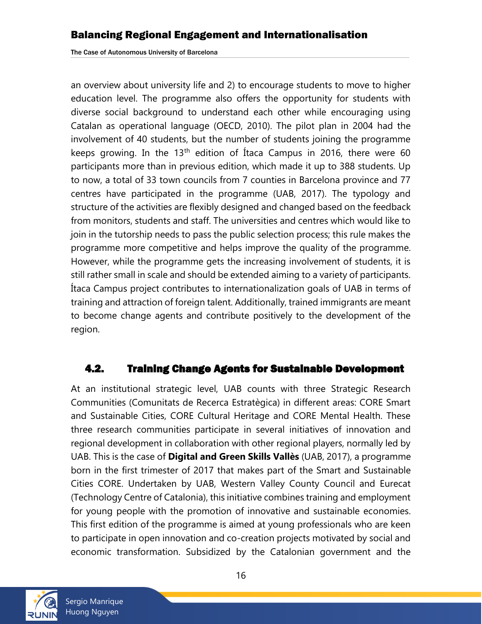The Case of Autonomous University of Barcelona

an overview about university life and 2) to encourage students to move to higher education level. The programme also offers the opportunity for students with diverse social background to understand each other while encouraging using Catalan as operational language (OECD, 2010). The pilot plan in 2004 had the involvement of 40 students, but the number of students joining the programme keeps growing. In the 13<sup>th</sup> edition of Itaca Campus in 2016, there were 60 participants more than in previous edition, which made it up to 388 students. Up to now, a total of 33 town councils from 7 counties in Barcelona province and 77 centres have participated in the programme (UAB, 2017). The typology and structure of the activities are flexibly designed and changed based on the feedback from monitors, students and staff. The universities and centres which would like to join in the tutorship needs to pass the public selection process; this rule makes the programme more competitive and helps improve the quality of the programme. However, while the programme gets the increasing involvement of students, it is still rather small in scale and should be extended aiming to a variety of participants. Ítaca Campus project contributes to internationalization goals of UAB in terms of training and attraction of foreign talent. Additionally, trained immigrants are meant to become change agents and contribute positively to the development of the region.

#### <span id="page-15-0"></span>4.2. Training Change Agents for Sustainable Development

At an institutional strategic level, UAB counts with three Strategic Research Communities (Comunitats de Recerca Estratègica) in different areas: CORE Smart and Sustainable Cities, CORE Cultural Heritage and CORE Mental Health. These three research communities participate in several initiatives of innovation and regional development in collaboration with other regional players, normally led by UAB. This is the case of **Digital and Green Skills Vallès** (UAB, 2017), a programme born in the first trimester of 2017 that makes part of the Smart and Sustainable Cities CORE. Undertaken by UAB, Western Valley County Council and Eurecat (Technology Centre of Catalonia), this initiative combines training and employment for young people with the promotion of innovative and sustainable economies. This first edition of the programme is aimed at young professionals who are keen to participate in open innovation and co-creation projects motivated by social and economic transformation. Subsidized by the Catalonian government and the

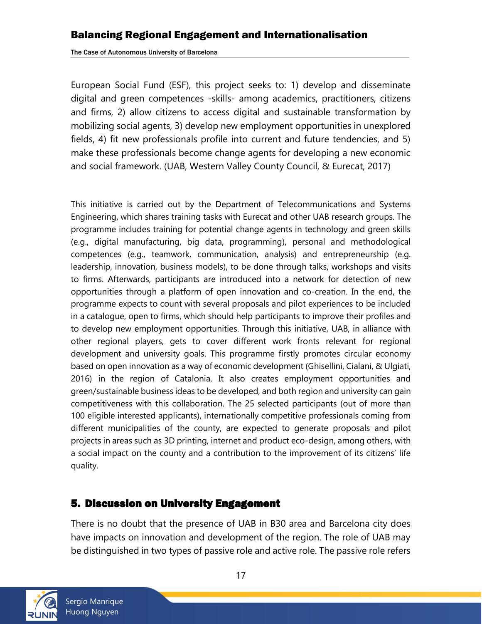The Case of Autonomous University of Barcelona

European Social Fund (ESF), this project seeks to: 1) develop and disseminate digital and green competences -skills- among academics, practitioners, citizens and firms, 2) allow citizens to access digital and sustainable transformation by mobilizing social agents, 3) develop new employment opportunities in unexplored fields, 4) fit new professionals profile into current and future tendencies, and 5) make these professionals become change agents for developing a new economic and social framework. (UAB, Western Valley County Council, & Eurecat, 2017)

This initiative is carried out by the Department of Telecommunications and Systems Engineering, which shares training tasks with Eurecat and other UAB research groups. The programme includes training for potential change agents in technology and green skills (e.g., digital manufacturing, big data, programming), personal and methodological competences (e.g., teamwork, communication, analysis) and entrepreneurship (e.g. leadership, innovation, business models), to be done through talks, workshops and visits to firms. Afterwards, participants are introduced into a network for detection of new opportunities through a platform of open innovation and co-creation. In the end, the programme expects to count with several proposals and pilot experiences to be included in a catalogue, open to firms, which should help participants to improve their profiles and to develop new employment opportunities. Through this initiative, UAB, in alliance with other regional players, gets to cover different work fronts relevant for regional development and university goals. This programme firstly promotes circular economy based on open innovation as a way of economic development (Ghisellini, Cialani, & Ulgiati, 2016) in the region of Catalonia. It also creates employment opportunities and green/sustainable business ideas to be developed, and both region and university can gain competitiveness with this collaboration. The 25 selected participants (out of more than 100 eligible interested applicants), internationally competitive professionals coming from different municipalities of the county, are expected to generate proposals and pilot projects in areas such as 3D printing, internet and product eco-design, among others, with a social impact on the county and a contribution to the improvement of its citizens' life quality.

### <span id="page-16-0"></span>5. Discussion on University Engagement

There is no doubt that the presence of UAB in B30 area and Barcelona city does have impacts on innovation and development of the region. The role of UAB may be distinguished in two types of passive role and active role. The passive role refers



Sergio Manrique Huong Nguyen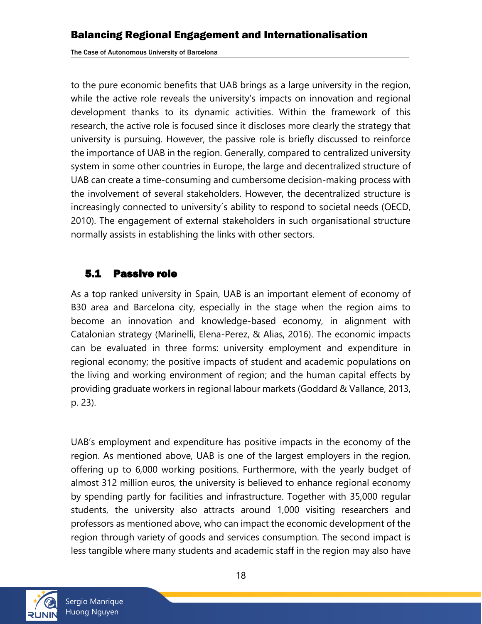to the pure economic benefits that UAB brings as a large university in the region, while the active role reveals the university's impacts on innovation and regional development thanks to its dynamic activities. Within the framework of this research, the active role is focused since it discloses more clearly the strategy that university is pursuing. However, the passive role is briefly discussed to reinforce the importance of UAB in the region. Generally, compared to centralized university system in some other countries in Europe, the large and decentralized structure of UAB can create a time-consuming and cumbersome decision-making process with the involvement of several stakeholders. However, the decentralized structure is increasingly connected to university´s ability to respond to societal needs (OECD, 2010). The engagement of external stakeholders in such organisational structure normally assists in establishing the links with other sectors.

# <span id="page-17-0"></span>5.1 Passive role

As a top ranked university in Spain, UAB is an important element of economy of B30 area and Barcelona city, especially in the stage when the region aims to become an innovation and knowledge-based economy, in alignment with Catalonian strategy (Marinelli, Elena-Perez, & Alias, 2016). The economic impacts can be evaluated in three forms: university employment and expenditure in regional economy; the positive impacts of student and academic populations on the living and working environment of region; and the human capital effects by providing graduate workers in regional labour markets (Goddard & Vallance, 2013, p. 23).

UAB's employment and expenditure has positive impacts in the economy of the region. As mentioned above, UAB is one of the largest employers in the region, offering up to 6,000 working positions. Furthermore, with the yearly budget of almost 312 million euros, the university is believed to enhance regional economy by spending partly for facilities and infrastructure. Together with 35,000 regular students, the university also attracts around 1,000 visiting researchers and professors as mentioned above, who can impact the economic development of the region through variety of goods and services consumption. The second impact is less tangible where many students and academic staff in the region may also have

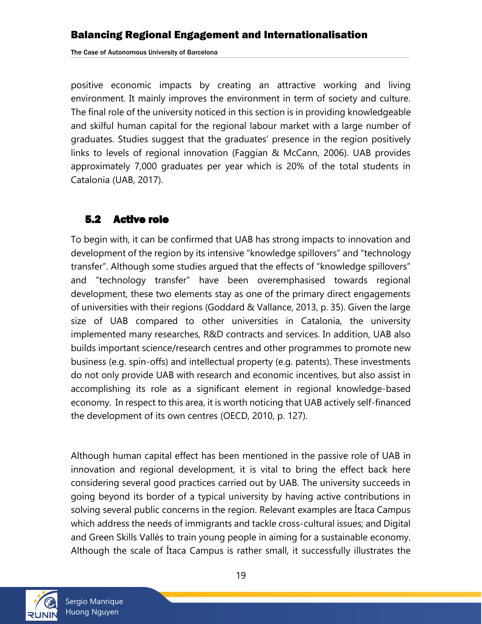The Case of Autonomous University of Barcelona

positive economic impacts by creating an attractive working and living environment. It mainly improves the environment in term of society and culture. The final role of the university noticed in this section is in providing knowledgeable and skilful human capital for the regional labour market with a large number of graduates. Studies suggest that the graduates' presence in the region positively links to levels of regional innovation (Faggian & McCann, 2006). UAB provides approximately 7,000 graduates per year which is 20% of the total students in Catalonia (UAB, 2017).

### <span id="page-18-0"></span>5.2 Active role

To begin with, it can be confirmed that UAB has strong impacts to innovation and development of the region by its intensive "knowledge spillovers" and "technology transfer". Although some studies argued that the effects of "knowledge spillovers" and "technology transfer" have been overemphasised towards regional development, these two elements stay as one of the primary direct engagements of universities with their regions (Goddard & Vallance, 2013, p. 35). Given the large size of UAB compared to other universities in Catalonia, the university implemented many researches, R&D contracts and services. In addition, UAB also builds important science/research centres and other programmes to promote new business (e.g. spin-offs) and intellectual property (e.g. patents). These investments do not only provide UAB with research and economic incentives, but also assist in accomplishing its role as a significant element in regional knowledge-based economy. In respect to this area, it is worth noticing that UAB actively self-financed the development of its own centres (OECD, 2010, p. 127).

Although human capital effect has been mentioned in the passive role of UAB in innovation and regional development, it is vital to bring the effect back here considering several good practices carried out by UAB. The university succeeds in going beyond its border of a typical university by having active contributions in solving several public concerns in the region. Relevant examples are Ítaca Campus which address the needs of immigrants and tackle cross-cultural issues; and Digital and Green Skills Vallès to train young people in aiming for a sustainable economy. Although the scale of Ítaca Campus is rather small, it successfully illustrates the

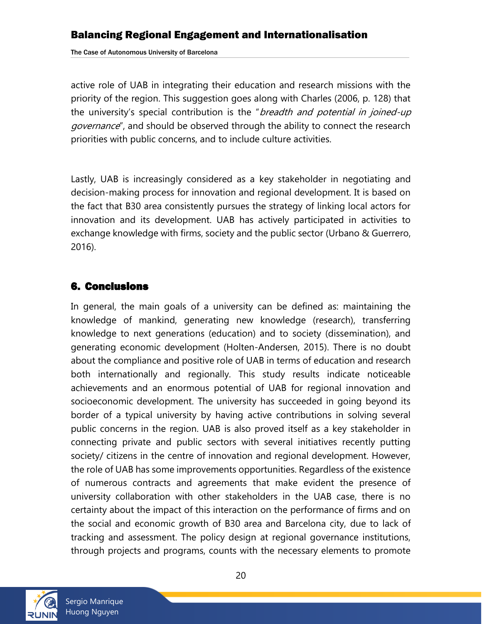The Case of Autonomous University of Barcelona

active role of UAB in integrating their education and research missions with the priority of the region. This suggestion goes along with Charles (2006, p. 128) that the university's special contribution is the "*breadth and potential in joined-up* governance", and should be observed through the ability to connect the research priorities with public concerns, and to include culture activities.

Lastly, UAB is increasingly considered as a key stakeholder in negotiating and decision-making process for innovation and regional development. It is based on the fact that B30 area consistently pursues the strategy of linking local actors for innovation and its development. UAB has actively participated in activities to exchange knowledge with firms, society and the public sector (Urbano & Guerrero, 2016).

### <span id="page-19-0"></span>6. Conclusions

In general, the main goals of a university can be defined as: maintaining the knowledge of mankind, generating new knowledge (research), transferring knowledge to next generations (education) and to society (dissemination), and generating economic development [\(Holten-Andersen, 2015\).](#page-21-1) There is no doubt about the compliance and positive role of UAB in terms of education and research both internationally and regionally. This study results indicate noticeable achievements and an enormous potential of UAB for regional innovation and socioeconomic development. The university has succeeded in going beyond its border of a typical university by having active contributions in solving several public concerns in the region. UAB is also proved itself as a key stakeholder in connecting private and public sectors with several initiatives recently putting society/ citizens in the centre of innovation and regional development. However, the role of UAB has some improvements opportunities. Regardless of the existence of numerous contracts and agreements that make evident the presence of university collaboration with other stakeholders in the UAB case, there is no certainty about the impact of this interaction on the performance of firms and on the social and economic growth of B30 area and Barcelona city, due to lack of tracking and assessment. The policy design at regional governance institutions, through projects and programs, counts with the necessary elements to promote

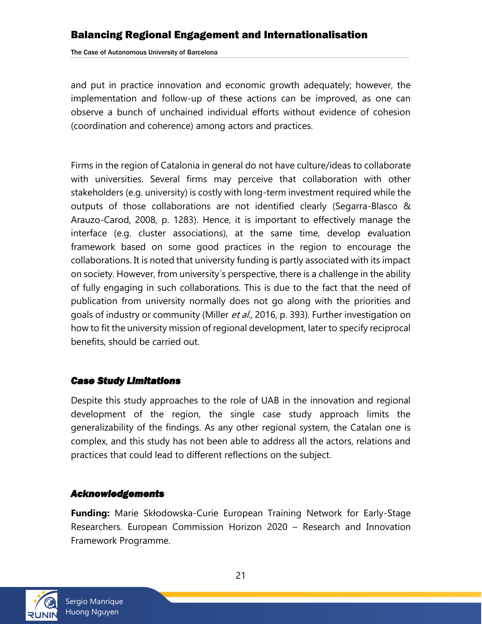The Case of Autonomous University of Barcelona

and put in practice innovation and economic growth adequately; however, the implementation and follow-up of these actions can be improved, as one can observe a bunch of unchained individual efforts without evidence of cohesion (coordination and coherence) among actors and practices.

Firms in the region of Catalonia in general do not have culture/ideas to collaborate with universities. Several firms may perceive that collaboration with other stakeholders (e.g. university) is costly with long-term investment required while the outputs of those collaborations are not identified clearly (Segarra-Blasco & Arauzo-Carod, 2008, p. 1283). Hence, it is important to effectively manage the interface (e.g. cluster associations), at the same time, develop evaluation framework based on some good practices in the region to encourage the collaborations. It is noted that university funding is partly associated with its impact on society. However, from university´s perspective, there is a challenge in the ability of fully engaging in such collaborations. This is due to the fact that the need of publication from university normally does not go along with the priorities and goals of industry or community (Miller *et al.*, 2016, p. 393). Further investigation on how to fit the university mission of regional development, later to specify reciprocal benefits, should be carried out.

#### <span id="page-20-0"></span>*Case Study Limitations*

Despite this study approaches to the role of UAB in the innovation and regional development of the region, the single case study approach limits the generalizability of the findings. As any other regional system, the Catalan one is complex, and this study has not been able to address all the actors, relations and practices that could lead to different reflections on the subject.

#### <span id="page-20-1"></span>*Acknowledgements*

**Funding:** Marie Skłodowska-Curie European Training Network for Early-Stage Researchers. European Commission Horizon 2020 – Research and Innovation Framework Programme.

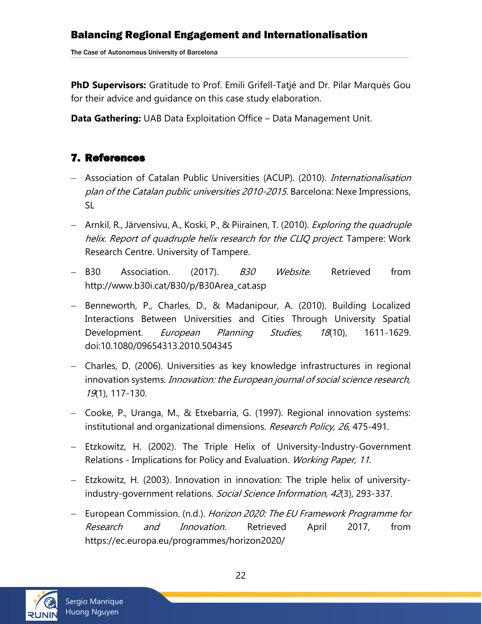**PhD Supervisors:** Gratitude to Prof. Emili Grifell-Tatjé and Dr. Pilar Marquès Gou for their advice and guidance on this case study elaboration.

<span id="page-21-1"></span>**Data Gathering:** UAB Data Exploitation Office – Data Management Unit.

# <span id="page-21-0"></span>7. References

- Association of Catalan Public Universities (ACUP). (2010). Internationalisation plan of the Catalan public universities 2010-2015. Barcelona: Nexe Impressions, SL
- Arnkil, R., Järvensivu, A., Koski, P., & Piirainen, T. (2010). *Exploring the quadruple* helix. Report of quadruple helix research for the CLIQ project. Tampere: Work Research Centre. University of Tampere.
- B30 Association. (2017). B30 Website. Retrieved from http://www.b30i.cat/B30/p/B30Area\_cat.asp
- Benneworth, P., Charles, D., & Madanipour, A. (2010). Building Localized Interactions Between Universities and Cities Through University Spatial Development. *European Planning Studies, 18*(10), 1611-1629. doi:10.1080/09654313.2010.504345
- Charles, D. (2006). Universities as key knowledge infrastructures in regional innovation systems. *Innovation: the European journal of social science research*, 19(1), 117-130.
- Cooke, P., Uranga, M., & Etxebarria, G. (1997). Regional innovation systems: institutional and organizational dimensions. Research Policy, 26, 475-491.
- Etzkowitz, H. (2002). The Triple Helix of University-Industry-Government Relations - Implications for Policy and Evaluation. Working Paper, 11.
- Etzkowitz, H. (2003). Innovation in innovation: The triple helix of universityindustry-government relations. Social Science Information, 42(3), 293-337.
- European Commission. (n.d.). Horizon 2020: The EU Framework Programme for Research and Innovation. Retrieved April 2017, from https://ec.europa.eu/programmes/horizon2020/

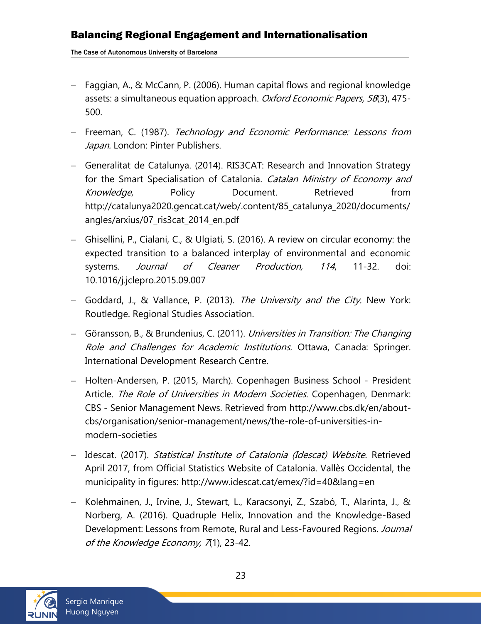The Case of Autonomous University of Barcelona

- Faggian, A., & McCann, P. (2006). Human capital flows and regional knowledge assets: a simultaneous equation approach. Oxford Economic Papers, 58(3), 475-500.
- Freeman, C. (1987). Technology and Economic Performance: Lessons from Japan. London: Pinter Publishers.
- Generalitat de Catalunya. (2014). RIS3CAT: Research and Innovation Strategy for the Smart Specialisation of Catalonia. Catalan Ministry of Economy and Knowledge, Policy Document. Retrieved from http://catalunya2020.gencat.cat/web/.content/85\_catalunya\_2020/documents/ angles/arxius/07\_ris3cat\_2014\_en.pdf
- Ghisellini, P., Cialani, C., & Ulgiati, S. (2016). A review on circular economy: the expected transition to a balanced interplay of environmental and economic systems. *Journal of Cleaner Production*, 114, 11-32. doi: 10.1016/j.jclepro.2015.09.007
- Goddard, J., & Vallance, P. (2013). The University and the City. New York: Routledge. Regional Studies Association.
- Göransson, B., & Brundenius, C. (2011). Universities in Transition: The Changing Role and Challenges for Academic Institutions. Ottawa, Canada: Springer. International Development Research Centre.
- Holten-Andersen, P. (2015, March). Copenhagen Business School President Article. The Role of Universities in Modern Societies. Copenhagen, Denmark: CBS - Senior Management News. Retrieved from http://www.cbs.dk/en/aboutcbs/organisation/senior-management/news/the-role-of-universities-inmodern-societies
- Idescat. (2017). Statistical Institute of Catalonia (Idescat) Website. Retrieved April 2017, from Official Statistics Website of Catalonia. Vallès Occidental, the municipality in figures: http://www.idescat.cat/emex/?id=40&lang=en
- Kolehmainen, J., Irvine, J., Stewart, L., Karacsonyi, Z., Szabó, T., Alarinta, J., & Norberg, A. (2016). Quadruple Helix, Innovation and the Knowledge-Based Development: Lessons from Remote, Rural and Less-Favoured Regions. Journal of the Knowledge Economy, 7(1), 23-42.

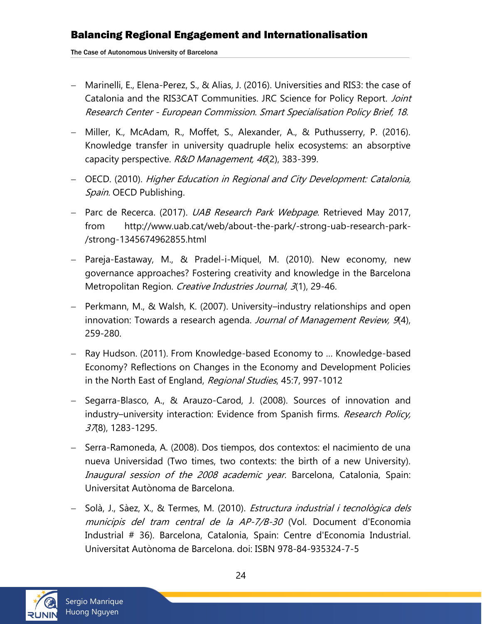The Case of Autonomous University of Barcelona

- Marinelli, E., Elena-Perez, S., & Alias, J. (2016). Universities and RIS3: the case of Catalonia and the RIS3CAT Communities. JRC Science for Policy Report. Joint Research Center - European Commission. Smart Specialisation Policy Brief, 18.
- Miller, K., McAdam, R., Moffet, S., Alexander, A., & Puthusserry, P. (2016). Knowledge transfer in university quadruple helix ecosystems: an absorptive capacity perspective. R&D Management, 46(2), 383-399.
- OECD. (2010). Higher Education in Regional and City Development: Catalonia, Spain. OECD Publishing.
- Parc de Recerca. (2017). *UAB Research Park Webpage*. Retrieved May 2017, from http://www.uab.cat/web/about-the-park/-strong-uab-research-park- /strong-1345674962855.html
- Pareja-Eastaway, M., & Pradel-i-Miquel, M. (2010). New economy, new governance approaches? Fostering creativity and knowledge in the Barcelona Metropolitan Region. Creative Industries Journal, 3(1), 29-46.
- Perkmann, M., & Walsh, K. (2007). University–industry relationships and open innovation: Towards a research agenda. Journal of Management Review, 9(4), 259-280.
- Ray Hudson. (2011). From Knowledge-based Economy to … Knowledge-based Economy? Reflections on Changes in the Economy and Development Policies in the North East of England, Regional Studies, 45:7, 997-1012
- Segarra-Blasco, A., & Arauzo-Carod, J. (2008). Sources of innovation and industry–university interaction: Evidence from Spanish firms. Research Policy, 37(8), 1283-1295.
- Serra-Ramoneda, A. (2008). Dos tiempos, dos contextos: el nacimiento de una nueva Universidad (Two times, two contexts: the birth of a new University). Inaugural session of the 2008 academic year. Barcelona, Catalonia, Spain: Universitat Autònoma de Barcelona.
- Solà, J., Sàez, X., & Termes, M. (2010). *Estructura industrial i tecnològica dels* municipis del tram central de la AP-7/B-30 (Vol. Document d'Economia Industrial # 36). Barcelona, Catalonia, Spain: Centre d'Economia Industrial. Universitat Autònoma de Barcelona. doi: ISBN 978-84-935324-7-5